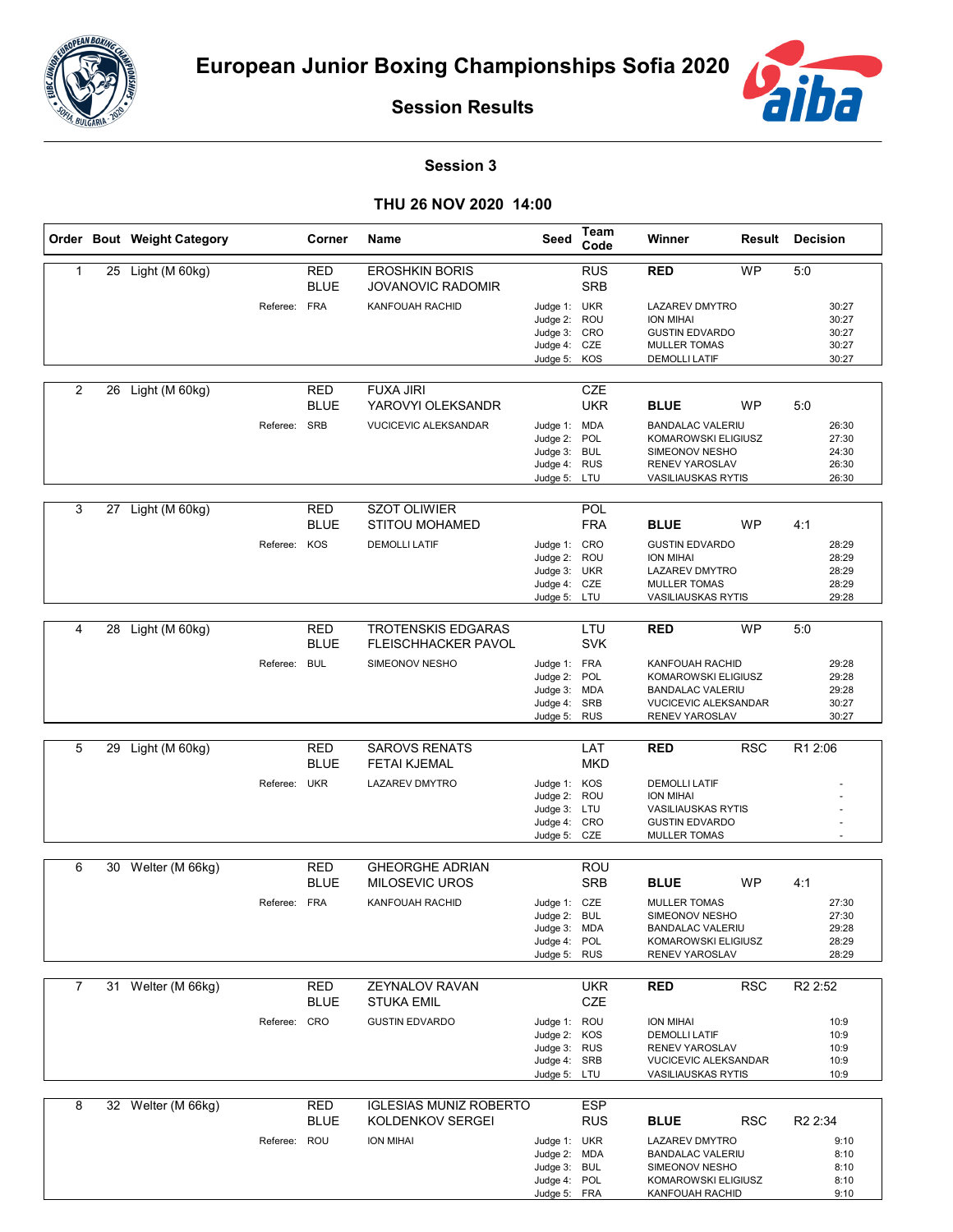



**Session Results**

## **Session 3**

## **THU 26 NOV 2020 14:00**

|                |    | Order Bout Weight Category |              | Corner                    | Name                                                    | Seed                         | Team<br>Code             | Winner                                             |            | <b>Result Decision</b> |
|----------------|----|----------------------------|--------------|---------------------------|---------------------------------------------------------|------------------------------|--------------------------|----------------------------------------------------|------------|------------------------|
| 1              |    | 25 Light (M 60kg)          |              | <b>RED</b><br><b>BLUE</b> | <b>EROSHKIN BORIS</b><br><b>JOVANOVIC RADOMIR</b>       |                              | <b>RUS</b><br><b>SRB</b> | <b>RED</b>                                         | <b>WP</b>  | 5:0                    |
|                |    |                            | Referee: FRA |                           | KANFOUAH RACHID                                         | Judge 1: UKR<br>Judge 2: ROU |                          | <b>LAZAREV DMYTRO</b><br><b>ION MIHAI</b>          |            | 30:27<br>30:27         |
|                |    |                            |              |                           |                                                         | Judge 3: CRO                 |                          | <b>GUSTIN EDVARDO</b>                              |            | 30:27                  |
|                |    |                            |              |                           |                                                         | Judge 4: CZE<br>Judge 5: KOS |                          | <b>MULLER TOMAS</b><br><b>DEMOLLI LATIF</b>        |            | 30:27<br>30:27         |
|                |    |                            |              |                           |                                                         |                              |                          |                                                    |            |                        |
| $\overline{2}$ | 26 | Light (M 60kg)             |              | RED                       | <b>FUXA JIRI</b>                                        |                              | CZE                      |                                                    |            |                        |
|                |    |                            |              | <b>BLUE</b>               | YAROVYI OLEKSANDR                                       |                              | <b>UKR</b>               | <b>BLUE</b>                                        | WP         | 5:0                    |
|                |    |                            | Referee: SRB |                           | VUCICEVIC ALEKSANDAR                                    | Judge 1: MDA                 |                          | <b>BANDALAC VALERIU</b><br>KOMAROWSKI ELIGIUSZ     |            | 26:30                  |
|                |    |                            |              |                           |                                                         | Judge 2: POL<br>Judge 3: BUL |                          | SIMEONOV NESHO                                     |            | 27:30<br>24:30         |
|                |    |                            |              |                           |                                                         | Judge 4: RUS                 |                          | RENEV YAROSLAV                                     |            | 26:30                  |
|                |    |                            |              |                           |                                                         | Judge 5: LTU                 |                          | <b>VASILIAUSKAS RYTIS</b>                          |            | 26:30                  |
| 3              |    | 27 Light (M 60kg)          |              | RED<br><b>BLUE</b>        | <b>SZOT OLIWIER</b><br><b>STITOU MOHAMED</b>            |                              | <b>POL</b><br><b>FRA</b> | <b>BLUE</b>                                        | <b>WP</b>  | 4:1                    |
|                |    |                            | Referee: KOS |                           | <b>DEMOLLI LATIF</b>                                    | Judge 1: CRO                 |                          | <b>GUSTIN EDVARDO</b>                              |            | 28:29                  |
|                |    |                            |              |                           |                                                         | Judge 2: ROU<br>Judge 3: UKR |                          | ION MIHAI<br><b>LAZAREV DMYTRO</b>                 |            | 28:29<br>28:29         |
|                |    |                            |              |                           |                                                         | Judge 4: CZE                 |                          | <b>MULLER TOMAS</b>                                |            | 28:29                  |
|                |    |                            |              |                           |                                                         | Judge 5: LTU                 |                          | <b>VASILIAUSKAS RYTIS</b>                          |            | 29:28                  |
| 4              |    | 28 Light (M 60kg)          |              | RED<br><b>BLUE</b>        | <b>TROTENSKIS EDGARAS</b><br><b>FLEISCHHACKER PAVOL</b> |                              | LTU<br><b>SVK</b>        | RED                                                | <b>WP</b>  | 5:0                    |
|                |    |                            | Referee: BUL |                           | SIMEONOV NESHO                                          | Judge 1: FRA                 |                          | <b>KANFOUAH RACHID</b>                             |            | 29:28                  |
|                |    |                            |              |                           |                                                         | Judge 2: POL<br>Judge 3: MDA |                          | KOMAROWSKI ELIGIUSZ<br><b>BANDALAC VALERIU</b>     |            | 29:28<br>29:28         |
|                |    |                            |              |                           |                                                         | Judge 4: SRB                 |                          | <b>VUCICEVIC ALEKSANDAR</b>                        |            | 30:27                  |
|                |    |                            |              |                           |                                                         | Judge 5: RUS                 |                          | RENEV YAROSLAV                                     |            | 30:27                  |
| 5              | 29 | Light (M 60kg)             |              | <b>RED</b><br><b>BLUE</b> | <b>SAROVS RENATS</b><br><b>FETAI KJEMAL</b>             |                              | LAT<br><b>MKD</b>        | <b>RED</b>                                         | <b>RSC</b> | R1 2:06                |
|                |    |                            | Referee: UKR |                           | LAZAREV DMYTRO                                          | Judge 1: KOS                 |                          | <b>DEMOLLI LATIF</b>                               |            |                        |
|                |    |                            |              |                           |                                                         | Judge 2: ROU                 |                          | <b>ION MIHAI</b>                                   |            |                        |
|                |    |                            |              |                           |                                                         | Judge 3: LTU<br>Judge 4: CRO |                          | <b>VASILIAUSKAS RYTIS</b><br><b>GUSTIN EDVARDO</b> |            |                        |
|                |    |                            |              |                           |                                                         | Judge 5: CZE                 |                          | MULLER TOMAS                                       |            |                        |
| 6              |    | 30 Welter (M 66kg)         |              | <b>RED</b>                | <b>GHEORGHE ADRIAN</b>                                  |                              | <b>ROU</b>               |                                                    |            |                        |
|                |    |                            |              | <b>BLUE</b>               | <b>MILOSEVIC UROS</b>                                   |                              | <b>SRB</b>               | <b>BLUE</b>                                        | <b>WP</b>  | 4:1                    |
|                |    |                            | Referee: FRA |                           | KANFOUAH RACHID                                         | Judge 1: CZE                 |                          | <b>MULLER TOMAS</b>                                |            | 27:30                  |
|                |    |                            |              |                           |                                                         | Judge 2:<br>Judge 3: MDA     | <b>BUL</b>               | SIMEONOV NESHO<br><b>BANDALAC VALERIU</b>          |            | 27:30<br>29:28         |
|                |    |                            |              |                           |                                                         | Judge 4: POL                 |                          | KOMAROWSKI ELIGIUSZ                                |            | 28:29                  |
|                |    |                            |              |                           |                                                         | Judge 5: RUS                 |                          | RENEV YAROSLAV                                     |            | 28:29                  |
| $\overline{7}$ |    | 31 Welter (M 66kg)         |              | <b>RED</b>                | ZEYNALOV RAVAN                                          |                              | <b>UKR</b>               | <b>RED</b>                                         | <b>RSC</b> | R <sub>2</sub> 2:52    |
|                |    |                            |              | <b>BLUE</b>               | <b>STUKA EMIL</b>                                       |                              | <b>CZE</b>               |                                                    |            |                        |
|                |    |                            | Referee: CRO |                           | <b>GUSTIN EDVARDO</b>                                   | Judge 1: ROU                 |                          | ION MIHAI                                          |            | 10:9                   |
|                |    |                            |              |                           |                                                         | Judge 2: KOS<br>Judge 3: RUS |                          | <b>DEMOLLI LATIF</b><br><b>RENEV YAROSLAV</b>      |            | 10:9<br>10:9           |
|                |    |                            |              |                           |                                                         | Judge 4: SRB                 |                          | <b>VUCICEVIC ALEKSANDAR</b>                        |            | 10:9                   |
|                |    |                            |              |                           |                                                         | Judge 5: LTU                 |                          | <b>VASILIAUSKAS RYTIS</b>                          |            | 10:9                   |
| 8              |    | 32 Welter (M 66kg)         |              | <b>RED</b>                | <b>IGLESIAS MUNIZ ROBERTO</b>                           |                              | <b>ESP</b>               |                                                    |            |                        |
|                |    |                            |              | <b>BLUE</b>               | KOLDENKOV SERGEI                                        |                              | <b>RUS</b>               | <b>BLUE</b>                                        | <b>RSC</b> | R <sub>2</sub> 2:34    |
|                |    |                            | Referee: ROU |                           | ION MIHAI                                               | Judge 1: UKR                 |                          | LAZAREV DMYTRO                                     |            | 9:10                   |
|                |    |                            |              |                           |                                                         | Judge 2: MDA<br>Judge 3: BUL |                          | <b>BANDALAC VALERIU</b><br>SIMEONOV NESHO          |            | 8:10<br>8:10           |
|                |    |                            |              |                           |                                                         | Judge 4: POL                 |                          | KOMAROWSKI ELIGIUSZ                                |            | 8:10                   |
|                |    |                            |              |                           |                                                         | Judge 5: FRA                 |                          | KANFOUAH RACHID                                    |            | 9:10                   |